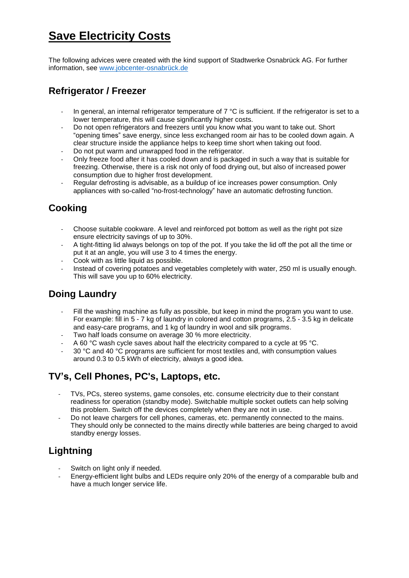# **Save Electricity Costs**

The following advices were created with the kind support of Stadtwerke Osnabrück AG. For further information, see [www.jobcenter-osnabrück.de](http://www.jobcenter-osnabrück.de/)

#### **Refrigerator / Freezer**

- In general, an internal refrigerator temperature of  $7 \degree C$  is sufficient. If the refrigerator is set to a lower temperature, this will cause significantly higher costs.
- Do not open refrigerators and freezers until you know what you want to take out. Short "opening times" save energy, since less exchanged room air has to be cooled down again. A clear structure inside the appliance helps to keep time short when taking out food.
- Do not put warm and unwrapped food in the refrigerator.
- Only freeze food after it has cooled down and is packaged in such a way that is suitable for freezing. Otherwise, there is a risk not only of food drying out, but also of increased power consumption due to higher frost development.
- Regular defrosting is advisable, as a buildup of ice increases power consumption. Only appliances with so-called "no-frost-technology" have an automatic defrosting function.

## **Cooking**

- Choose suitable cookware. A level and reinforced pot bottom as well as the right pot size ensure electricity savings of up to 30%.
- A tight-fitting lid always belongs on top of the pot. If you take the lid off the pot all the time or put it at an angle, you will use 3 to 4 times the energy.
- Cook with as little liquid as possible.
- Instead of covering potatoes and vegetables completely with water, 250 ml is usually enough. This will save you up to 60% electricity.

### **Doing Laundry**

- Fill the washing machine as fully as possible, but keep in mind the program you want to use. For example: fill in 5 - 7 kg of laundry in colored and cotton programs, 2.5 - 3.5 kg in delicate and easy-care programs, and 1 kg of laundry in wool and silk programs.
- Two half loads consume on average 30 % more electricity.
- A 60 °C wash cycle saves about half the electricity compared to a cycle at 95 °C.
- 30 °C and 40 °C programs are sufficient for most textiles and, with consumption values around 0.3 to 0.5 kWh of electricity, always a good idea.

### **TV's, Cell Phones, PC's, Laptops, etc.**

- TVs, PCs, stereo systems, game consoles, etc. consume electricity due to their constant readiness for operation (standby mode). Switchable multiple socket outlets can help solving this problem. Switch off the devices completely when they are not in use.
- Do not leave chargers for cell phones, cameras, etc. permanently connected to the mains. They should only be connected to the mains directly while batteries are being charged to avoid standby energy losses.

### **Lightning**

- Switch on light only if needed.
- Energy-efficient light bulbs and LEDs require only 20% of the energy of a comparable bulb and have a much longer service life.